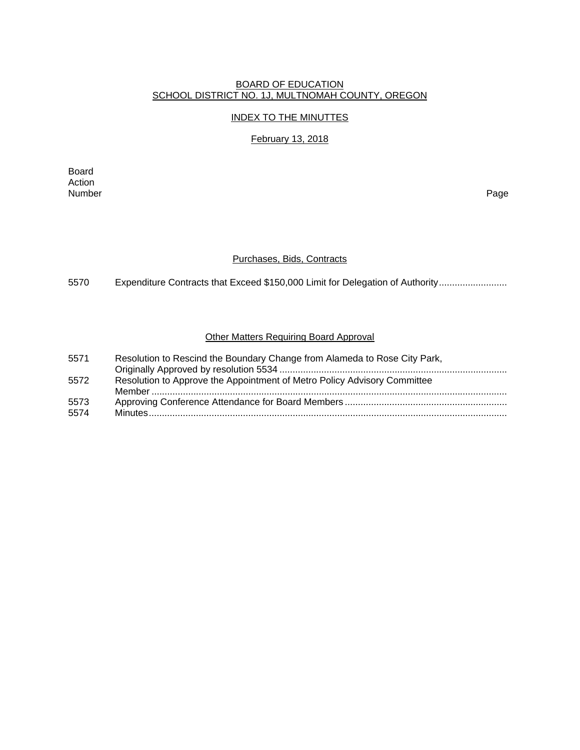# BOARD OF EDUCATION SCHOOL DISTRICT NO. 1J, MULTNOMAH COUNTY, OREGON

#### INDEX TO THE MINUTTES

# February 13, 2018

Board Action<br>Number Number Page

### Purchases, Bids, Contracts

5570 Expenditure Contracts that Exceed \$150,000 Limit for Delegation of Authority ..........................

### Other Matters Requiring Board Approval

| 5571 | Resolution to Rescind the Boundary Change from Alameda to Rose City Park, |
|------|---------------------------------------------------------------------------|
|      |                                                                           |
| 5572 | Resolution to Approve the Appointment of Metro Policy Advisory Committee  |
|      |                                                                           |
| 5573 |                                                                           |
| 5574 |                                                                           |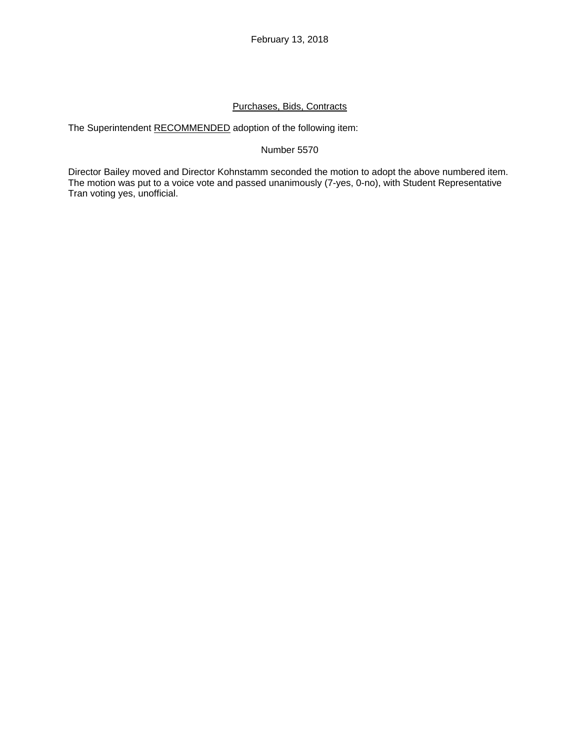# Purchases, Bids, Contracts

The Superintendent RECOMMENDED adoption of the following item:

## Number 5570

Director Bailey moved and Director Kohnstamm seconded the motion to adopt the above numbered item. The motion was put to a voice vote and passed unanimously (7-yes, 0-no), with Student Representative Tran voting yes, unofficial.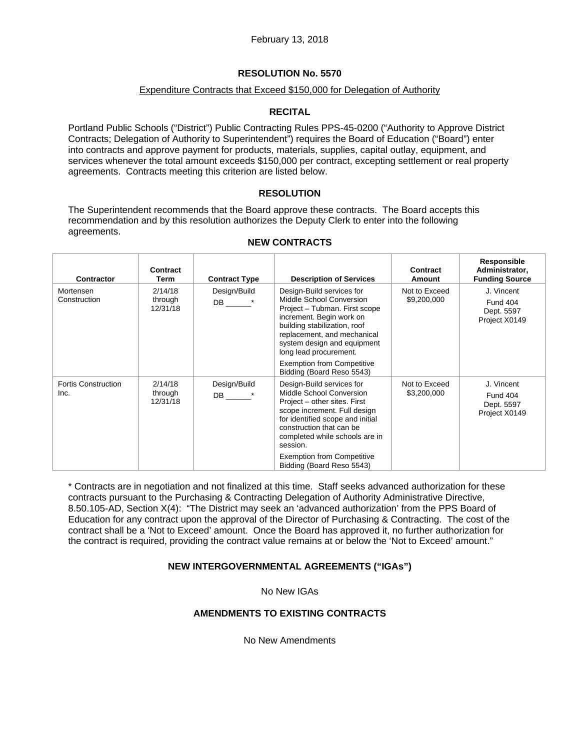## **RESOLUTION No. 5570**

### Expenditure Contracts that Exceed \$150,000 for Delegation of Authority

## **RECITAL**

Portland Public Schools ("District") Public Contracting Rules PPS-45-0200 ("Authority to Approve District Contracts; Delegation of Authority to Superintendent") requires the Board of Education ("Board") enter into contracts and approve payment for products, materials, supplies, capital outlay, equipment, and services whenever the total amount exceeds \$150,000 per contract, excepting settlement or real property agreements. Contracts meeting this criterion are listed below.

## **RESOLUTION**

The Superintendent recommends that the Board approve these contracts. The Board accepts this recommendation and by this resolution authorizes the Deputy Clerk to enter into the following agreements.

| Contractor                         | Contract<br>Term               | <b>Contract Type</b> | <b>Description of Services</b>                                                                                                                                                                                                             | Contract<br><b>Amount</b>    | Responsible<br>Administrator,<br><b>Funding Source</b>       |
|------------------------------------|--------------------------------|----------------------|--------------------------------------------------------------------------------------------------------------------------------------------------------------------------------------------------------------------------------------------|------------------------------|--------------------------------------------------------------|
| Mortensen<br>Construction          | 2/14/18<br>through<br>12/31/18 | Design/Build<br>DB * | Design-Build services for<br>Middle School Conversion<br>Project - Tubman. First scope<br>increment. Begin work on<br>building stabilization, roof<br>replacement, and mechanical<br>system design and equipment<br>long lead procurement. | Not to Exceed<br>\$9,200,000 | J. Vincent<br><b>Fund 404</b><br>Dept. 5597<br>Project X0149 |
|                                    |                                |                      | <b>Exemption from Competitive</b><br>Bidding (Board Reso 5543)                                                                                                                                                                             |                              |                                                              |
| <b>Fortis Construction</b><br>Inc. | 2/14/18<br>through<br>12/31/18 | Design/Build<br>DB * | Design-Build services for<br>Middle School Conversion<br>Project – other sites. First<br>scope increment. Full design<br>for identified scope and initial<br>construction that can be<br>completed while schools are in<br>session.        | Not to Exceed<br>\$3,200,000 | J. Vincent<br><b>Fund 404</b><br>Dept. 5597<br>Project X0149 |
|                                    |                                |                      | <b>Exemption from Competitive</b><br>Bidding (Board Reso 5543)                                                                                                                                                                             |                              |                                                              |

### **NEW CONTRACTS**

\* Contracts are in negotiation and not finalized at this time. Staff seeks advanced authorization for these contracts pursuant to the Purchasing & Contracting Delegation of Authority Administrative Directive, 8.50.105-AD, Section X(4): "The District may seek an 'advanced authorization' from the PPS Board of Education for any contract upon the approval of the Director of Purchasing & Contracting. The cost of the contract shall be a 'Not to Exceed' amount. Once the Board has approved it, no further authorization for the contract is required, providing the contract value remains at or below the 'Not to Exceed' amount."

## **NEW INTERGOVERNMENTAL AGREEMENTS ("IGAs")**

No New IGAs

## **AMENDMENTS TO EXISTING CONTRACTS**

No New Amendments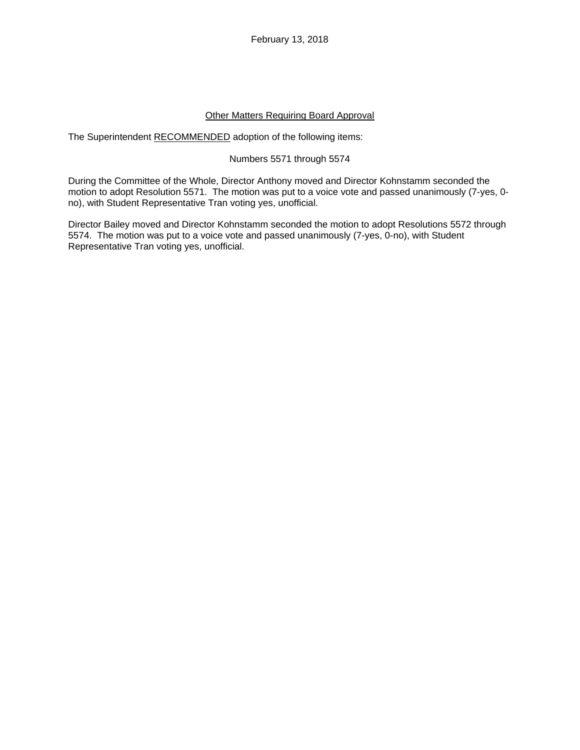February 13, 2018

### Other Matters Requiring Board Approval

The Superintendent RECOMMENDED adoption of the following items:

### Numbers 5571 through 5574

During the Committee of the Whole, Director Anthony moved and Director Kohnstamm seconded the motion to adopt Resolution 5571. The motion was put to a voice vote and passed unanimously (7-yes, 0 no), with Student Representative Tran voting yes, unofficial.

Director Bailey moved and Director Kohnstamm seconded the motion to adopt Resolutions 5572 through 5574. The motion was put to a voice vote and passed unanimously (7-yes, 0-no), with Student Representative Tran voting yes, unofficial.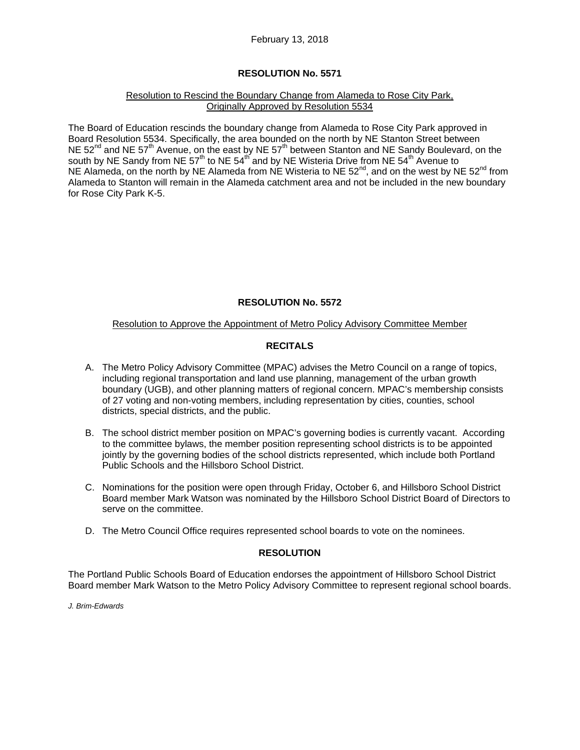# **RESOLUTION No. 5571**

#### Resolution to Rescind the Boundary Change from Alameda to Rose City Park, Originally Approved by Resolution 5534

The Board of Education rescinds the boundary change from Alameda to Rose City Park approved in Board Resolution 5534. Specifically, the area bounded on the north by NE Stanton Street between NE 52<sup>nd</sup> and NE 57<sup>th</sup> Avenue, on the east by NE 57<sup>th</sup> between Stanton and NE Sandy Boulevard, on the south by NE Sandy from NE 57<sup>th</sup> to NE 54<sup>th</sup> and by NE Wisteria Drive from NE 54<sup>th</sup> Avenue to NE Alameda, on the north by NE Alameda from NE Wisteria to NE  $52^{nd}$ , and on the west by NE  $52^{nd}$  from Alameda to Stanton will remain in the Alameda catchment area and not be included in the new boundary for Rose City Park K-5.

# **RESOLUTION No. 5572**

### Resolution to Approve the Appointment of Metro Policy Advisory Committee Member

# **RECITALS**

- A. The Metro Policy Advisory Committee (MPAC) advises the Metro Council on a range of topics, including regional transportation and land use planning, management of the urban growth boundary (UGB), and other planning matters of regional concern. MPAC's membership consists of 27 voting and non-voting members, including representation by cities, counties, school districts, special districts, and the public.
- B. The school district member position on MPAC's governing bodies is currently vacant. According to the committee bylaws, the member position representing school districts is to be appointed jointly by the governing bodies of the school districts represented, which include both Portland Public Schools and the Hillsboro School District.
- C. Nominations for the position were open through Friday, October 6, and Hillsboro School District Board member Mark Watson was nominated by the Hillsboro School District Board of Directors to serve on the committee.
- D. The Metro Council Office requires represented school boards to vote on the nominees.

## **RESOLUTION**

The Portland Public Schools Board of Education endorses the appointment of Hillsboro School District Board member Mark Watson to the Metro Policy Advisory Committee to represent regional school boards.

*J. Brim-Edwards*